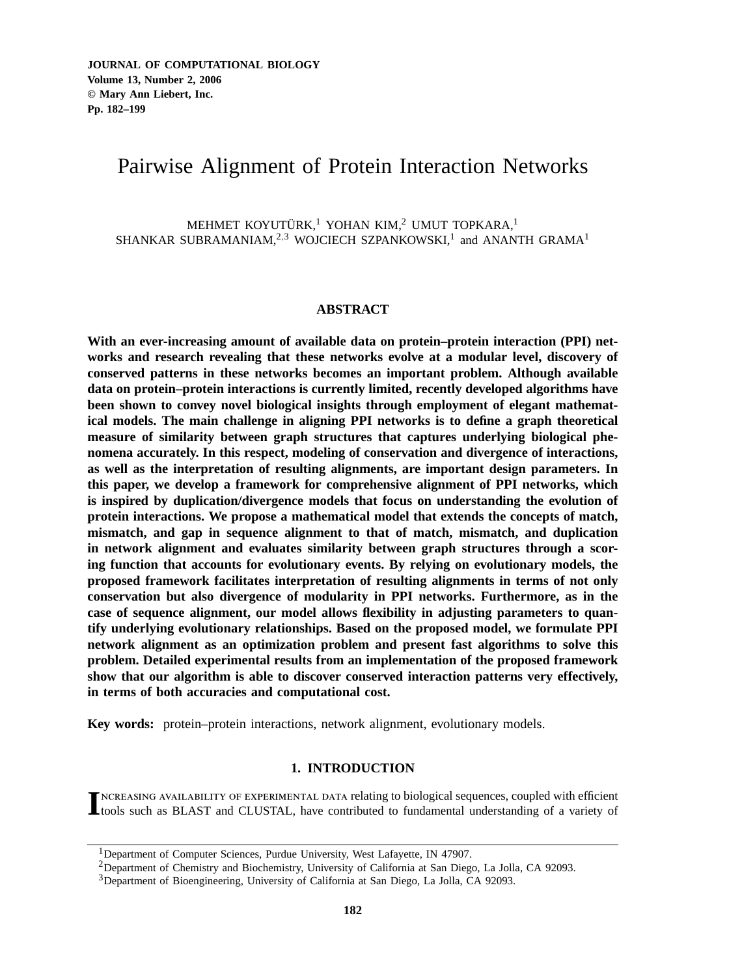# Pairwise Alignment of Protein Interaction Networks

MEHMET KOYUTÜRK,<sup>1</sup> YOHAN KIM,<sup>2</sup> UMUT TOPKARA,<sup>1</sup> SHANKAR SUBRAMANIAM,<sup>2,3</sup> WOJCIECH SZPANKOWSKI,<sup>1</sup> and ANANTH GRAMA<sup>1</sup>

# **ABSTRACT**

**With an ever-increasing amount of available data on protein–protein interaction (PPI) networks and research revealing that these networks evolve at a modular level, discovery of conserved patterns in these networks becomes an important problem. Although available data on protein–protein interactions is currently limited, recently developed algorithms have been shown to convey novel biological insights through employment of elegant mathematical models. The main challenge in aligning PPI networks is to define a graph theoretical measure of similarity between graph structures that captures underlying biological phenomena accurately. In this respect, modeling of conservation and divergence of interactions, as well as the interpretation of resulting alignments, are important design parameters. In this paper, we develop a framework for comprehensive alignment of PPI networks, which is inspired by duplication/divergence models that focus on understanding the evolution of protein interactions. We propose a mathematical model that extends the concepts of match, mismatch, and gap in sequence alignment to that of match, mismatch, and duplication in network alignment and evaluates similarity between graph structures through a scoring function that accounts for evolutionary events. By relying on evolutionary models, the proposed framework facilitates interpretation of resulting alignments in terms of not only conservation but also divergence of modularity in PPI networks. Furthermore, as in the case of sequence alignment, our model allows flexibility in adjusting parameters to quantify underlying evolutionary relationships. Based on the proposed model, we formulate PPI network alignment as an optimization problem and present fast algorithms to solve this problem. Detailed experimental results from an implementation of the proposed framework show that our algorithm is able to discover conserved interaction patterns very effectively, in terms of both accuracies and computational cost.**

**Key words:** protein–protein interactions, network alignment, evolutionary models.

# **1. INTRODUCTION**

INCREASING AVAILABILITY OF EXPERIMENTAL DATA relating to biological sequences, coupled with efficient tools such as BLAST and CLUSTAL, have contributed to fundamental understanding of a variety of ncreasing availability of experimental data relating to biological sequences, coupled with efficient

<sup>&</sup>lt;sup>1</sup>Department of Computer Sciences, Purdue University, West Lafayette, IN 47907.

<sup>2</sup>Department of Chemistry and Biochemistry, University of California at San Diego, La Jolla, CA 92093.

<sup>&</sup>lt;sup>3</sup>Department of Bioengineering, University of California at San Diego, La Jolla, CA 92093.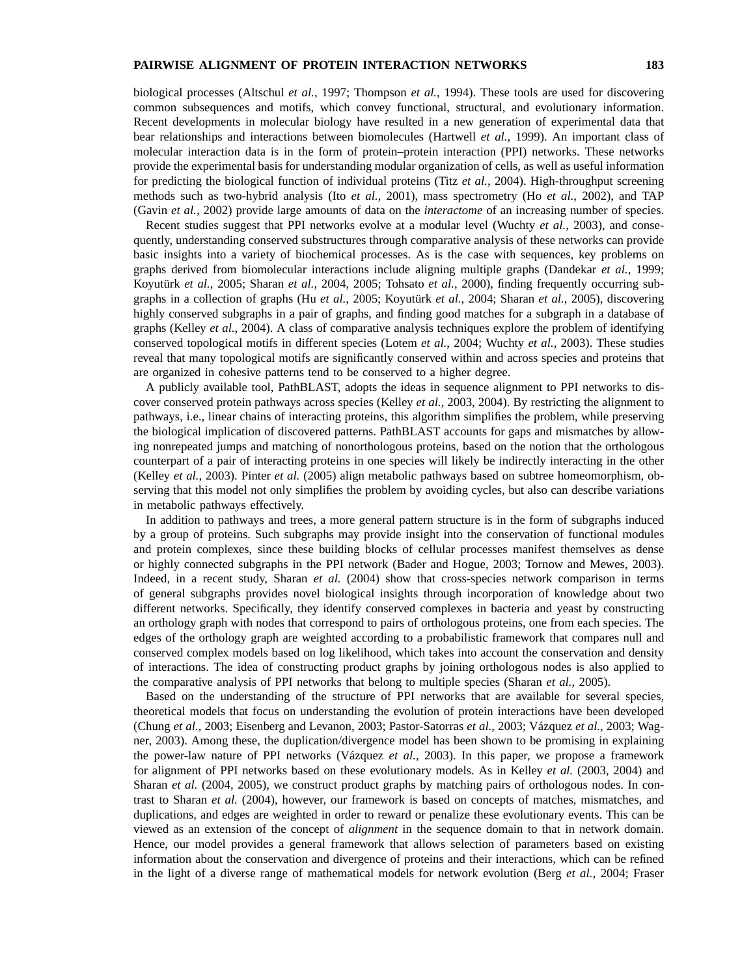biological processes (Altschul *et al.*, 1997; Thompson *et al.*, 1994). These tools are used for discovering common subsequences and motifs, which convey functional, structural, and evolutionary information. Recent developments in molecular biology have resulted in a new generation of experimental data that bear relationships and interactions between biomolecules (Hartwell *et al.*, 1999). An important class of molecular interaction data is in the form of protein–protein interaction (PPI) networks. These networks provide the experimental basis for understanding modular organization of cells, as well as useful information for predicting the biological function of individual proteins (Titz *et al.*, 2004). High-throughput screening methods such as two-hybrid analysis (Ito *et al.*, 2001), mass spectrometry (Ho *et al.*, 2002), and TAP (Gavin *et al.*, 2002) provide large amounts of data on the *interactome* of an increasing number of species.

Recent studies suggest that PPI networks evolve at a modular level (Wuchty *et al.*, 2003), and consequently, understanding conserved substructures through comparative analysis of these networks can provide basic insights into a variety of biochemical processes. As is the case with sequences, key problems on graphs derived from biomolecular interactions include aligning multiple graphs (Dandekar *et al.*, 1999; Koyutürk *et al.*, 2005; Sharan *et al.*, 2004, 2005; Tohsato *et al.*, 2000), finding frequently occurring subgraphs in a collection of graphs (Hu *et al.*, 2005; Koyutürk *et al.*, 2004; Sharan *et al.*, 2005), discovering highly conserved subgraphs in a pair of graphs, and finding good matches for a subgraph in a database of graphs (Kelley *et al.*, 2004). A class of comparative analysis techniques explore the problem of identifying conserved topological motifs in different species (Lotem *et al.*, 2004; Wuchty *et al.*, 2003). These studies reveal that many topological motifs are significantly conserved within and across species and proteins that are organized in cohesive patterns tend to be conserved to a higher degree.

A publicly available tool, PathBLAST, adopts the ideas in sequence alignment to PPI networks to discover conserved protein pathways across species (Kelley *et al.*, 2003, 2004). By restricting the alignment to pathways, i.e., linear chains of interacting proteins, this algorithm simplifies the problem, while preserving the biological implication of discovered patterns. PathBLAST accounts for gaps and mismatches by allowing nonrepeated jumps and matching of nonorthologous proteins, based on the notion that the orthologous counterpart of a pair of interacting proteins in one species will likely be indirectly interacting in the other (Kelley *et al.*, 2003). Pinter *et al.* (2005) align metabolic pathways based on subtree homeomorphism, observing that this model not only simplifies the problem by avoiding cycles, but also can describe variations in metabolic pathways effectively.

In addition to pathways and trees, a more general pattern structure is in the form of subgraphs induced by a group of proteins. Such subgraphs may provide insight into the conservation of functional modules and protein complexes, since these building blocks of cellular processes manifest themselves as dense or highly connected subgraphs in the PPI network (Bader and Hogue, 2003; Tornow and Mewes, 2003). Indeed, in a recent study, Sharan *et al.* (2004) show that cross-species network comparison in terms of general subgraphs provides novel biological insights through incorporation of knowledge about two different networks. Specifically, they identify conserved complexes in bacteria and yeast by constructing an orthology graph with nodes that correspond to pairs of orthologous proteins, one from each species. The edges of the orthology graph are weighted according to a probabilistic framework that compares null and conserved complex models based on log likelihood, which takes into account the conservation and density of interactions. The idea of constructing product graphs by joining orthologous nodes is also applied to the comparative analysis of PPI networks that belong to multiple species (Sharan *et al.*, 2005).

Based on the understanding of the structure of PPI networks that are available for several species, theoretical models that focus on understanding the evolution of protein interactions have been developed (Chung *et al.*, 2003; Eisenberg and Levanon, 2003; Pastor-Satorras *et al.*, 2003; Vázquez *et al.*, 2003; Wagner, 2003). Among these, the duplication/divergence model has been shown to be promising in explaining the power-law nature of PPI networks (Vázquez *et al.*, 2003). In this paper, we propose a framework for alignment of PPI networks based on these evolutionary models. As in Kelley *et al.* (2003, 2004) and Sharan *et al.* (2004, 2005), we construct product graphs by matching pairs of orthologous nodes. In contrast to Sharan *et al.* (2004), however, our framework is based on concepts of matches, mismatches, and duplications, and edges are weighted in order to reward or penalize these evolutionary events. This can be viewed as an extension of the concept of *alignment* in the sequence domain to that in network domain. Hence, our model provides a general framework that allows selection of parameters based on existing information about the conservation and divergence of proteins and their interactions, which can be refined in the light of a diverse range of mathematical models for network evolution (Berg *et al.*, 2004; Fraser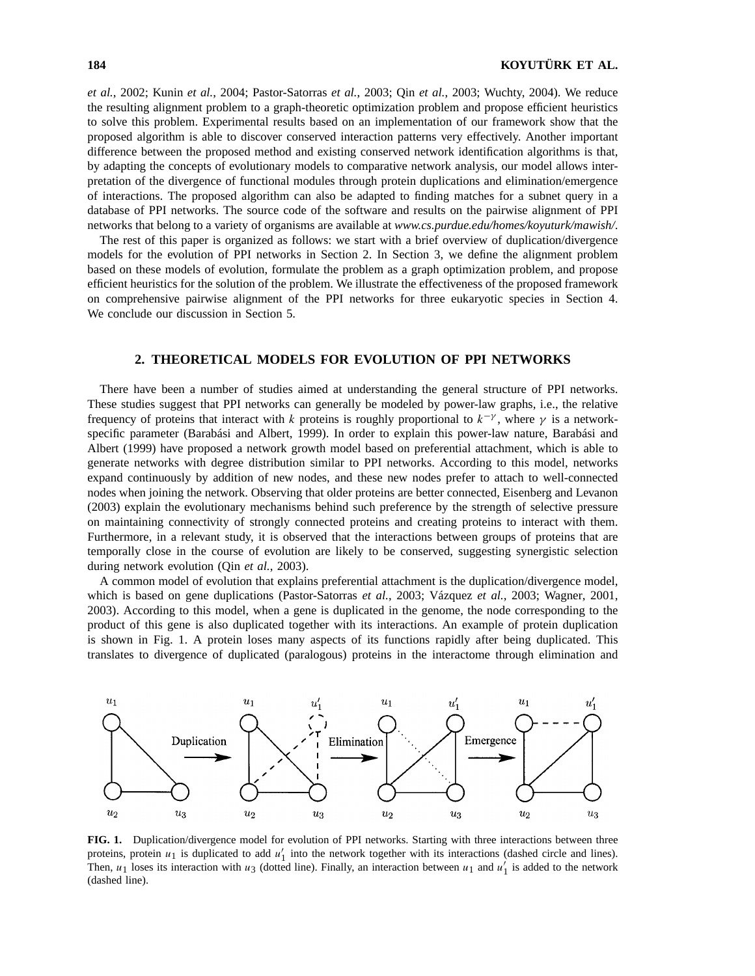*et al.*, 2002; Kunin *et al.*, 2004; Pastor-Satorras *et al.*, 2003; Qin *et al.*, 2003; Wuchty, 2004). We reduce the resulting alignment problem to a graph-theoretic optimization problem and propose efficient heuristics to solve this problem. Experimental results based on an implementation of our framework show that the proposed algorithm is able to discover conserved interaction patterns very effectively. Another important difference between the proposed method and existing conserved network identification algorithms is that, by adapting the concepts of evolutionary models to comparative network analysis, our model allows interpretation of the divergence of functional modules through protein duplications and elimination/emergence of interactions. The proposed algorithm can also be adapted to finding matches for a subnet query in a database of PPI networks. The source code of the software and results on the pairwise alignment of PPI networks that belong to a variety of organisms are available at *www.cs.purdue.edu/homes/koyuturk/mawish/*.

The rest of this paper is organized as follows: we start with a brief overview of duplication/divergence models for the evolution of PPI networks in Section 2. In Section 3, we define the alignment problem based on these models of evolution, formulate the problem as a graph optimization problem, and propose efficient heuristics for the solution of the problem. We illustrate the effectiveness of the proposed framework on comprehensive pairwise alignment of the PPI networks for three eukaryotic species in Section 4. We conclude our discussion in Section 5.

# **2. THEORETICAL MODELS FOR EVOLUTION OF PPI NETWORKS**

There have been a number of studies aimed at understanding the general structure of PPI networks. These studies suggest that PPI networks can generally be modeled by power-law graphs, i.e., the relative frequency of proteins that interact with k proteins is roughly proportional to  $k^{-\gamma}$ , where  $\gamma$  is a networkspecific parameter (Barabási and Albert, 1999). In order to explain this power-law nature, Barabási and Albert (1999) have proposed a network growth model based on preferential attachment, which is able to generate networks with degree distribution similar to PPI networks. According to this model, networks expand continuously by addition of new nodes, and these new nodes prefer to attach to well-connected nodes when joining the network. Observing that older proteins are better connected, Eisenberg and Levanon (2003) explain the evolutionary mechanisms behind such preference by the strength of selective pressure on maintaining connectivity of strongly connected proteins and creating proteins to interact with them. Furthermore, in a relevant study, it is observed that the interactions between groups of proteins that are temporally close in the course of evolution are likely to be conserved, suggesting synergistic selection during network evolution (Qin *et al.*, 2003).

A common model of evolution that explains preferential attachment is the duplication/divergence model, which is based on gene duplications (Pastor-Satorras *et al.*, 2003; Vázquez *et al.*, 2003; Wagner, 2001, 2003). According to this model, when a gene is duplicated in the genome, the node corresponding to the product of this gene is also duplicated together with its interactions. An example of protein duplication is shown in Fig. 1. A protein loses many aspects of its functions rapidly after being duplicated. This translates to divergence of duplicated (paralogous) proteins in the interactome through elimination and



**FIG. 1.** Duplication/divergence model for evolution of PPI networks. Starting with three interactions between three proteins, protein  $u_1$  is duplicated to add  $u'_1$  into the network together with its interactions (dashed circle and lines). Then,  $u_1$  loses its interaction with  $u_3$  (dotted line). Finally, an interaction between  $u_1$  and  $u'_1$  is added to the network (dashed line).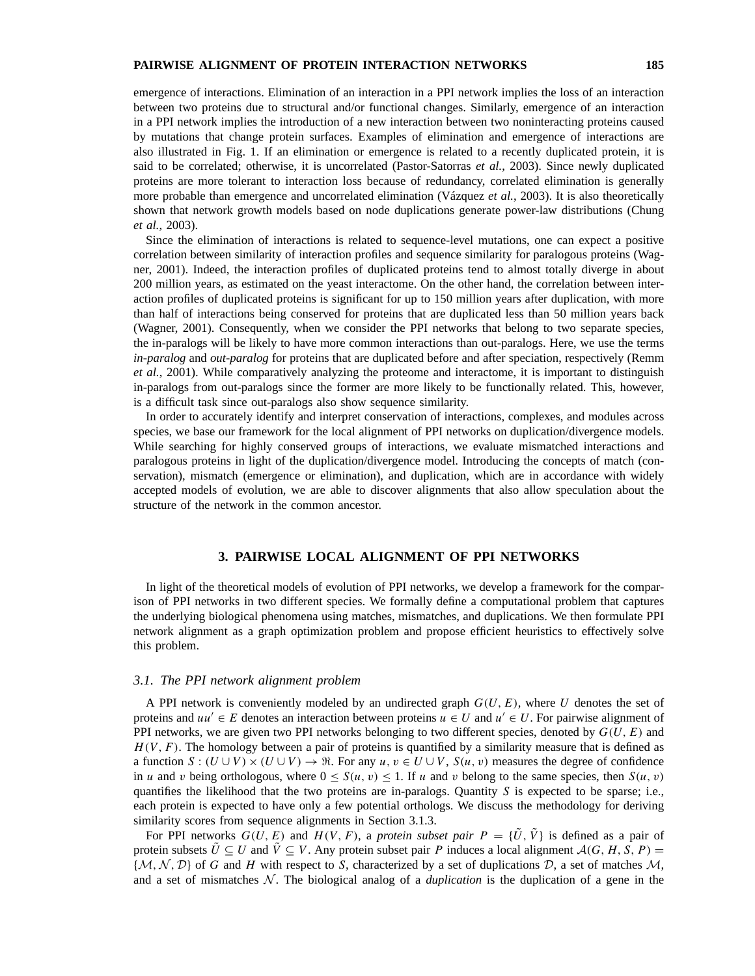emergence of interactions. Elimination of an interaction in a PPI network implies the loss of an interaction between two proteins due to structural and/or functional changes. Similarly, emergence of an interaction in a PPI network implies the introduction of a new interaction between two noninteracting proteins caused by mutations that change protein surfaces. Examples of elimination and emergence of interactions are also illustrated in Fig. 1. If an elimination or emergence is related to a recently duplicated protein, it is said to be correlated; otherwise, it is uncorrelated (Pastor-Satorras *et al.*, 2003). Since newly duplicated proteins are more tolerant to interaction loss because of redundancy, correlated elimination is generally more probable than emergence and uncorrelated elimination (Vázquez *et al.*, 2003). It is also theoretically shown that network growth models based on node duplications generate power-law distributions (Chung *et al.*, 2003).

Since the elimination of interactions is related to sequence-level mutations, one can expect a positive correlation between similarity of interaction profiles and sequence similarity for paralogous proteins (Wagner, 2001). Indeed, the interaction profiles of duplicated proteins tend to almost totally diverge in about 200 million years, as estimated on the yeast interactome. On the other hand, the correlation between interaction profiles of duplicated proteins is significant for up to 150 million years after duplication, with more than half of interactions being conserved for proteins that are duplicated less than 50 million years back (Wagner, 2001). Consequently, when we consider the PPI networks that belong to two separate species, the in-paralogs will be likely to have more common interactions than out-paralogs. Here, we use the terms *in-paralog* and *out-paralog* for proteins that are duplicated before and after speciation, respectively (Remm *et al.*, 2001). While comparatively analyzing the proteome and interactome, it is important to distinguish in-paralogs from out-paralogs since the former are more likely to be functionally related. This, however, is a difficult task since out-paralogs also show sequence similarity.

In order to accurately identify and interpret conservation of interactions, complexes, and modules across species, we base our framework for the local alignment of PPI networks on duplication/divergence models. While searching for highly conserved groups of interactions, we evaluate mismatched interactions and paralogous proteins in light of the duplication/divergence model. Introducing the concepts of match (conservation), mismatch (emergence or elimination), and duplication, which are in accordance with widely accepted models of evolution, we are able to discover alignments that also allow speculation about the structure of the network in the common ancestor.

# **3. PAIRWISE LOCAL ALIGNMENT OF PPI NETWORKS**

In light of the theoretical models of evolution of PPI networks, we develop a framework for the comparison of PPI networks in two different species. We formally define a computational problem that captures the underlying biological phenomena using matches, mismatches, and duplications. We then formulate PPI network alignment as a graph optimization problem and propose efficient heuristics to effectively solve this problem.

#### *3.1. The PPI network alignment problem*

A PPI network is conveniently modeled by an undirected graph  $G(U, E)$ , where U denotes the set of proteins and  $uu' \in E$  denotes an interaction between proteins  $u \in U$  and  $u' \in U$ . For pairwise alignment of PPI networks, we are given two PPI networks belonging to two different species, denoted by  $G(U, E)$  and  $H(V, F)$ . The homology between a pair of proteins is quantified by a similarity measure that is defined as a function  $S: (U \cup V) \times (U \cup V) \rightarrow \mathcal{R}$ . For any  $u, v \in U \cup V$ ,  $S(u, v)$  measures the degree of confidence in u and v being orthologous, where  $0 \le S(u, v) \le 1$ . If u and v belong to the same species, then  $S(u, v)$ quantifies the likelihood that the two proteins are in-paralogs. Quantity  $S$  is expected to be sparse; i.e., each protein is expected to have only a few potential orthologs. We discuss the methodology for deriving similarity scores from sequence alignments in Section 3.1.3.

For PPI networks  $G(U, E)$  and  $H(V, F)$ , a *protein subset pair*  $P = \{U, V\}$  is defined as a pair of protein subsets  $\tilde{U} \subseteq U$  and  $\tilde{V} \subseteq V$ . Any protein subset pair P induces a local alignment  $\mathcal{A}(G, H, S, P)$  =  $\{\mathcal{M}, \mathcal{N}, \mathcal{D}\}\$  of G and H with respect to S, characterized by a set of duplications D, a set of matches  $\mathcal{M}$ , and a set of mismatches  $N$ . The biological analog of a *duplication* is the duplication of a gene in the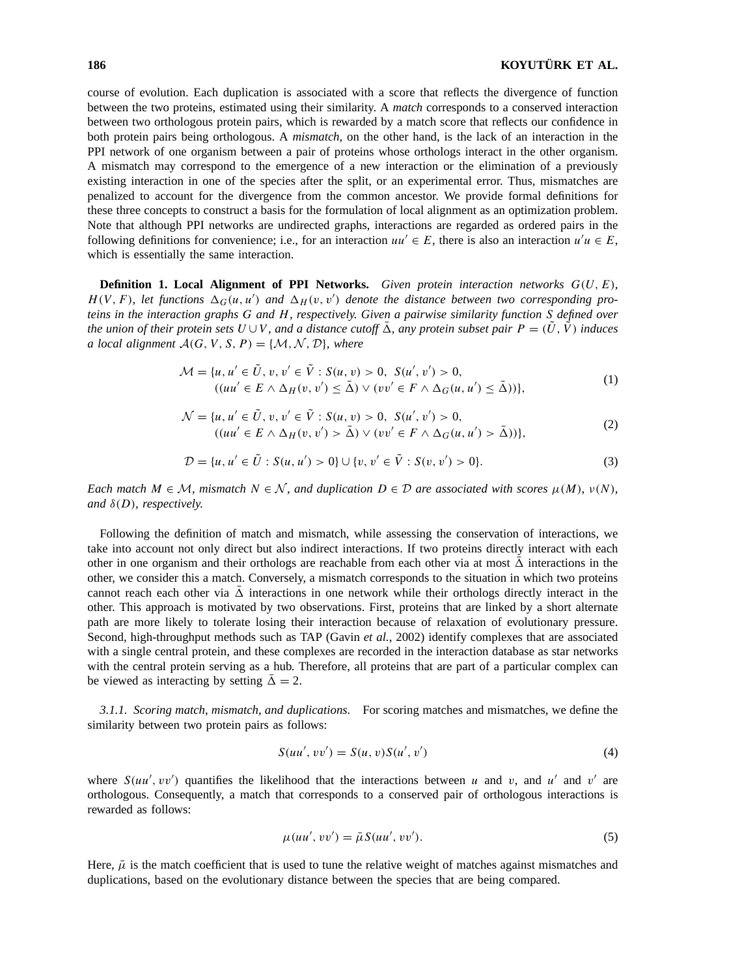course of evolution. Each duplication is associated with a score that reflects the divergence of function between the two proteins, estimated using their similarity. A *match* corresponds to a conserved interaction between two orthologous protein pairs, which is rewarded by a match score that reflects our confidence in both protein pairs being orthologous. A *mismatch*, on the other hand, is the lack of an interaction in the PPI network of one organism between a pair of proteins whose orthologs interact in the other organism. A mismatch may correspond to the emergence of a new interaction or the elimination of a previously existing interaction in one of the species after the split, or an experimental error. Thus, mismatches are penalized to account for the divergence from the common ancestor. We provide formal definitions for these three concepts to construct a basis for the formulation of local alignment as an optimization problem. Note that although PPI networks are undirected graphs, interactions are regarded as ordered pairs in the following definitions for convenience; i.e., for an interaction  $uu' \in E$ , there is also an interaction  $u'u \in E$ , which is essentially the same interaction.

**Definition 1. Local Alignment of PPI Networks.** *Given protein interaction networks* G(U, E)*,*  $H(V, F)$ , let functions  $\Delta_G(u, u')$  and  $\Delta_H(v, v')$  denote the distance between two corresponding pro*teins in the interaction graphs* G *and* H*, respectively. Given a pairwise similarity function* S *defined over*  $\phi$  *the union of their protein sets*  $U \cup V$ *, and a distance cutoff*  $\bar{\Delta}$ *, any protein subset pair*  $P = (\tilde{U}, \tilde{V})$  *induces a local alignment*  $A(G, V, S, P) = \{M, \mathcal{N}, \mathcal{D}\}\text{, where}$ 

$$
\mathcal{M} = \{u, u' \in \tilde{U}, v, v' \in \tilde{V} : S(u, v) > 0, S(u', v') > 0,((uu' \in E \land \Delta_H(v, v') \le \bar{\Delta}) \lor (vv' \in F \land \Delta_G(u, u') \le \bar{\Delta}))\},
$$
\n(1)

$$
\mathcal{N} = \{u, u' \in \tilde{U}, v, v' \in \tilde{V} : S(u, v) > 0, S(u', v') > 0,((uu' \in E \land \Delta_H(v, v') > \bar{\Delta}) \lor (vv' \in F \land \Delta_G(u, u') > \bar{\Delta}))\},
$$
\n(2)

$$
\mathcal{D} = \{u, u' \in \tilde{U} : S(u, u') > 0\} \cup \{v, v' \in \tilde{V} : S(v, v') > 0\}.
$$
\n(3)

*Each match*  $M \in \mathcal{M}$ *, mismatch*  $N \in \mathcal{N}$ *, and duplication*  $D \in \mathcal{D}$  *are associated with scores*  $\mu(M)$ *, v(N), and* δ(D)*, respectively.*

Following the definition of match and mismatch, while assessing the conservation of interactions, we take into account not only direct but also indirect interactions. If two proteins directly interact with each other in one organism and their orthologs are reachable from each other via at most  $\bar{\Delta}$  interactions in the other, we consider this a match. Conversely, a mismatch corresponds to the situation in which two proteins cannot reach each other via  $\bar{\Delta}$  interactions in one network while their orthologs directly interact in the other. This approach is motivated by two observations. First, proteins that are linked by a short alternate path are more likely to tolerate losing their interaction because of relaxation of evolutionary pressure. Second, high-throughput methods such as TAP (Gavin *et al.*, 2002) identify complexes that are associated with a single central protein, and these complexes are recorded in the interaction database as star networks with the central protein serving as a hub. Therefore, all proteins that are part of a particular complex can be viewed as interacting by setting  $\bar{\Delta} = 2$ .

*3.1.1. Scoring match, mismatch, and duplications.* For scoring matches and mismatches, we define the similarity between two protein pairs as follows:

$$
S(uu', vv') = S(u, v)S(u', v')
$$
 (4)

where  $S(uu', vv')$  quantifies the likelihood that the interactions between u and v, and u' and v' are orthologous. Consequently, a match that corresponds to a conserved pair of orthologous interactions is rewarded as follows:

$$
\mu(uu', vv') = \bar{\mu} S(uu', vv'). \tag{5}
$$

Here,  $\bar{\mu}$  is the match coefficient that is used to tune the relative weight of matches against mismatches and duplications, based on the evolutionary distance between the species that are being compared.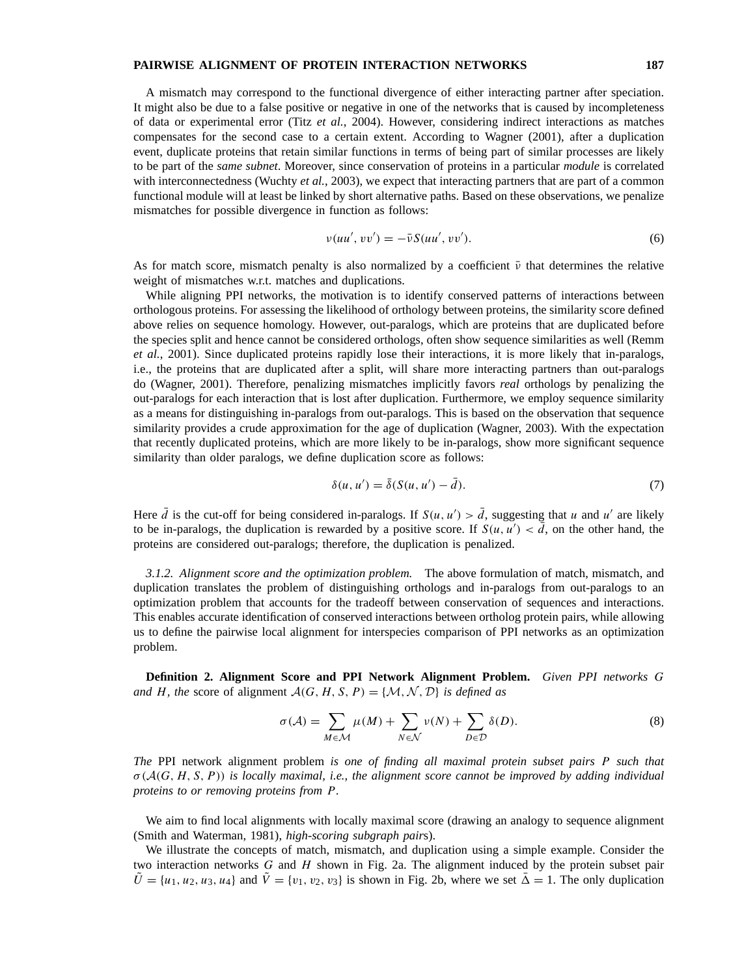A mismatch may correspond to the functional divergence of either interacting partner after speciation. It might also be due to a false positive or negative in one of the networks that is caused by incompleteness of data or experimental error (Titz *et al.*, 2004). However, considering indirect interactions as matches compensates for the second case to a certain extent. According to Wagner (2001), after a duplication event, duplicate proteins that retain similar functions in terms of being part of similar processes are likely to be part of the *same subnet*. Moreover, since conservation of proteins in a particular *module* is correlated with interconnectedness (Wuchty *et al.*, 2003), we expect that interacting partners that are part of a common functional module will at least be linked by short alternative paths. Based on these observations, we penalize mismatches for possible divergence in function as follows:

$$
v(uu', vv') = -\bar{v}S(uu', vv').
$$
 (6)

As for match score, mismatch penalty is also normalized by a coefficient  $\bar{\nu}$  that determines the relative weight of mismatches w.r.t. matches and duplications.

While aligning PPI networks, the motivation is to identify conserved patterns of interactions between orthologous proteins. For assessing the likelihood of orthology between proteins, the similarity score defined above relies on sequence homology. However, out-paralogs, which are proteins that are duplicated before the species split and hence cannot be considered orthologs, often show sequence similarities as well (Remm *et al.*, 2001). Since duplicated proteins rapidly lose their interactions, it is more likely that in-paralogs, i.e., the proteins that are duplicated after a split, will share more interacting partners than out-paralogs do (Wagner, 2001). Therefore, penalizing mismatches implicitly favors *real* orthologs by penalizing the out-paralogs for each interaction that is lost after duplication. Furthermore, we employ sequence similarity as a means for distinguishing in-paralogs from out-paralogs. This is based on the observation that sequence similarity provides a crude approximation for the age of duplication (Wagner, 2003). With the expectation that recently duplicated proteins, which are more likely to be in-paralogs, show more significant sequence similarity than older paralogs, we define duplication score as follows:

$$
\delta(u, u') = \overline{\delta}(S(u, u') - \overline{d}).\tag{7}
$$

Here  $\bar{d}$  is the cut-off for being considered in-paralogs. If  $S(u, u') > \bar{d}$ , suggesting that u and u' are likely to be in-paralogs, the duplication is rewarded by a positive score. If  $S(u, u') < d$ , on the other hand, the proteins are considered out-paralogs; therefore, the duplication is penalized.

*3.1.2. Alignment score and the optimization problem.* The above formulation of match, mismatch, and duplication translates the problem of distinguishing orthologs and in-paralogs from out-paralogs to an optimization problem that accounts for the tradeoff between conservation of sequences and interactions. This enables accurate identification of conserved interactions between ortholog protein pairs, while allowing us to define the pairwise local alignment for interspecies comparison of PPI networks as an optimization problem.

**Definition 2. Alignment Score and PPI Network Alignment Problem.** *Given PPI networks* G *and* H, the score of alignment  $A(G, H, S, P) = \{M, \mathcal{N}, \mathcal{D}\}\$ is defined as

$$
\sigma(\mathcal{A}) = \sum_{M \in \mathcal{M}} \mu(M) + \sum_{N \in \mathcal{N}} \nu(N) + \sum_{D \in \mathcal{D}} \delta(D). \tag{8}
$$

*The* PPI network alignment problem *is one of finding all maximal protein subset pairs* P *such that*  $\sigma(A(G, H, S, P))$  is locally maximal, i.e., the alignment score cannot be improved by adding individual *proteins to or removing proteins from* P*.*

We aim to find local alignments with locally maximal score (drawing an analogy to sequence alignment (Smith and Waterman, 1981), *high-scoring subgraph pair*s).

We illustrate the concepts of match, mismatch, and duplication using a simple example. Consider the two interaction networks  $G$  and  $H$  shown in Fig. 2a. The alignment induced by the protein subset pair  $\tilde{U} = \{u_1, u_2, u_3, u_4\}$  and  $\tilde{V} = \{v_1, v_2, v_3\}$  is shown in Fig. 2b, where we set  $\overline{\Delta} = 1$ . The only duplication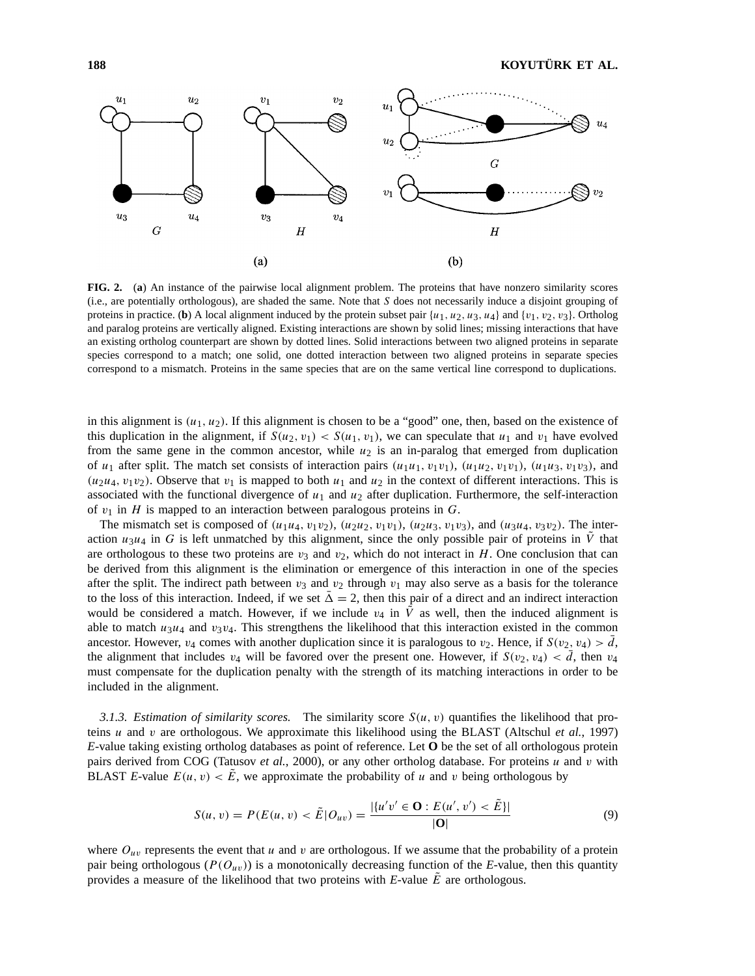

**FIG. 2.** (**a**) An instance of the pairwise local alignment problem. The proteins that have nonzero similarity scores (i.e., are potentially orthologous), are shaded the same. Note that S does not necessarily induce a disjoint grouping of proteins in practice. (**b**) A local alignment induced by the protein subset pair  $\{u_1, u_2, u_3, u_4\}$  and  $\{v_1, v_2, v_3\}$ . Ortholog and paralog proteins are vertically aligned. Existing interactions are shown by solid lines; missing interactions that have an existing ortholog counterpart are shown by dotted lines. Solid interactions between two aligned proteins in separate species correspond to a match; one solid, one dotted interaction between two aligned proteins in separate species correspond to a mismatch. Proteins in the same species that are on the same vertical line correspond to duplications.

in this alignment is  $(u_1, u_2)$ . If this alignment is chosen to be a "good" one, then, based on the existence of this duplication in the alignment, if  $S(u_2, v_1) < S(u_1, v_1)$ , we can speculate that  $u_1$  and  $v_1$  have evolved from the same gene in the common ancestor, while  $u_2$  is an in-paralog that emerged from duplication of  $u_1$  after split. The match set consists of interaction pairs  $(u_1u_1, v_1v_1)$ ,  $(u_1u_2, v_1v_1)$ ,  $(u_1u_3, v_1v_3)$ , and  $(u_2u_4, v_1v_2)$ . Observe that  $v_1$  is mapped to both  $u_1$  and  $u_2$  in the context of different interactions. This is associated with the functional divergence of  $u_1$  and  $u_2$  after duplication. Furthermore, the self-interaction of  $v_1$  in H is mapped to an interaction between paralogous proteins in G.

The mismatch set is composed of  $(u_1u_4, v_1v_2), (u_2u_2, v_1v_1), (u_2u_3, v_1v_3),$  and  $(u_3u_4, v_3v_2)$ . The interaction  $u_3u_4$  in G is left unmatched by this alignment, since the only possible pair of proteins in V that are orthologous to these two proteins are  $v_3$  and  $v_2$ , which do not interact in H. One conclusion that can be derived from this alignment is the elimination or emergence of this interaction in one of the species after the split. The indirect path between  $v_3$  and  $v_2$  through  $v_1$  may also serve as a basis for the tolerance to the loss of this interaction. Indeed, if we set  $\bar{\Delta} = 2$ , then this pair of a direct and an indirect interaction would be considered a match. However, if we include  $v_4$  in  $\tilde{V}$  as well, then the induced alignment is able to match  $u_3u_4$  and  $v_3v_4$ . This strengthens the likelihood that this interaction existed in the common ancestor. However,  $v_4$  comes with another duplication since it is paralogous to  $v_2$ . Hence, if  $S(v_2, v_4) > d$ , the alignment that includes  $v_4$  will be favored over the present one. However, if  $S(v_2, v_4) < \overline{d}$ , then  $v_4$ must compensate for the duplication penalty with the strength of its matching interactions in order to be included in the alignment.

*3.1.3. Estimation of similarity scores.* The similarity score  $S(u, v)$  quantifies the likelihood that proteins u and v are orthologous. We approximate this likelihood using the BLAST (Altschul *et al.*, 1997) *E*-value taking existing ortholog databases as point of reference. Let **O** be the set of all orthologous protein pairs derived from COG (Tatusov *et al.*, 2000), or any other ortholog database. For proteins u and v with BLAST *E*-value  $E(u, v) < \tilde{E}$ , we approximate the probability of u and v being orthologous by

$$
S(u, v) = P(E(u, v) < \tilde{E}|O_{uv}) = \frac{|\{u'v' \in \mathbf{O} : E(u', v') < \tilde{E}\}|}{|\mathbf{O}|} \tag{9}
$$

where  $O_{uv}$  represents the event that u and v are orthologous. If we assume that the probability of a protein pair being orthologous ( $P(O_{uv})$ ) is a monotonically decreasing function of the *E*-value, then this quantity provides a measure of the likelihood that two proteins with *E*-value  $\vec{E}$  are orthologous.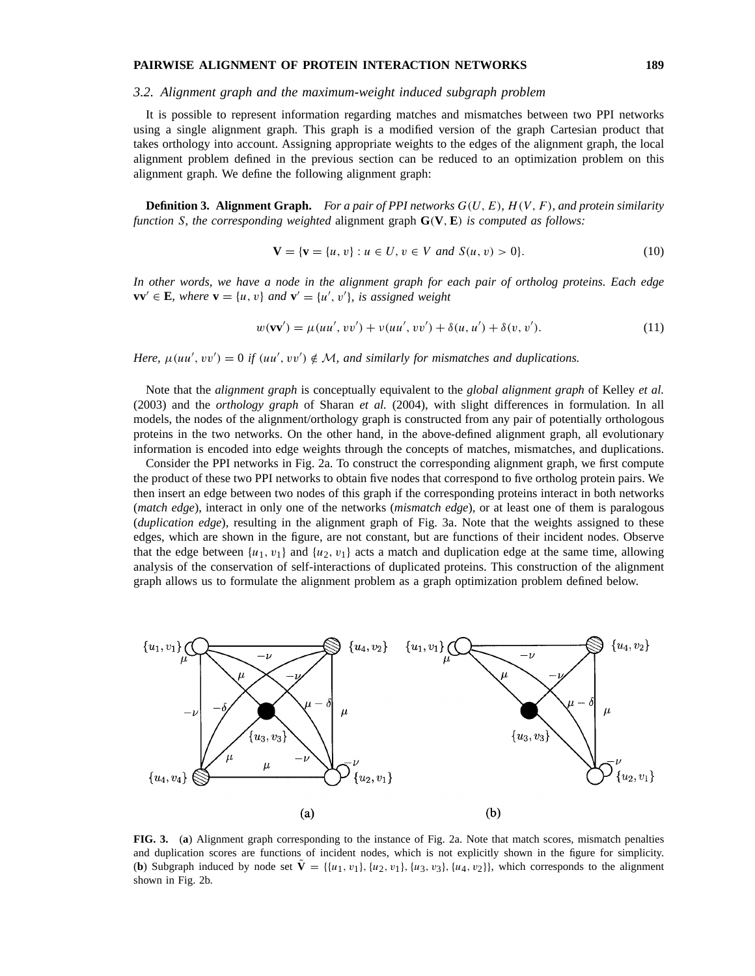#### *3.2. Alignment graph and the maximum-weight induced subgraph problem*

It is possible to represent information regarding matches and mismatches between two PPI networks using a single alignment graph. This graph is a modified version of the graph Cartesian product that takes orthology into account. Assigning appropriate weights to the edges of the alignment graph, the local alignment problem defined in the previous section can be reduced to an optimization problem on this alignment graph. We define the following alignment graph:

**Definition 3. Alignment Graph.** *For a pair of PPI networks* G(U, E)*,* H (V , F )*, and protein similarity function* S*, the corresponding weighted* alignment graph **G**(**V**,**E**) *is computed as follows:*

$$
\mathbf{V} = \{ \mathbf{v} = \{u, v\} : u \in U, v \in V \text{ and } S(u, v) > 0 \}. \tag{10}
$$

*In other words, we have a node in the alignment graph for each pair of ortholog proteins. Each edge* **vv**<sup> $'$ </sup> ∈ **E***, where* **v** = {*u*, *v*} *and* **v**<sup> $'$ </sup> = {*u'*, *v'*}*, is assigned weight* 

$$
w(\mathbf{v}\mathbf{v}') = \mu(uu', vv') + v(uu', vv') + \delta(u, u') + \delta(v, v').
$$
\n(11)

*Here,*  $\mu(uu', vv') = 0$  *if*  $(uu', vv') \notin M$ , and similarly for mismatches and duplications.

Note that the *alignment graph* is conceptually equivalent to the *global alignment graph* of Kelley *et al.* (2003) and the *orthology graph* of Sharan *et al.* (2004), with slight differences in formulation. In all models, the nodes of the alignment/orthology graph is constructed from any pair of potentially orthologous proteins in the two networks. On the other hand, in the above-defined alignment graph, all evolutionary information is encoded into edge weights through the concepts of matches, mismatches, and duplications.

Consider the PPI networks in Fig. 2a. To construct the corresponding alignment graph, we first compute the product of these two PPI networks to obtain five nodes that correspond to five ortholog protein pairs. We then insert an edge between two nodes of this graph if the corresponding proteins interact in both networks (*match edge*), interact in only one of the networks (*mismatch edge*), or at least one of them is paralogous (*duplication edge*), resulting in the alignment graph of Fig. 3a. Note that the weights assigned to these edges, which are shown in the figure, are not constant, but are functions of their incident nodes. Observe that the edge between  $\{u_1, v_1\}$  and  $\{u_2, v_1\}$  acts a match and duplication edge at the same time, allowing analysis of the conservation of self-interactions of duplicated proteins. This construction of the alignment graph allows us to formulate the alignment problem as a graph optimization problem defined below.



**FIG. 3.** (**a**) Alignment graph corresponding to the instance of Fig. 2a. Note that match scores, mismatch penalties and duplication scores are functions of incident nodes, which is not explicitly shown in the figure for simplicity. (**b**) Subgraph induced by node set  $\mathbf{\tilde{V}} = \{ \{u_1, v_1\}, \{u_2, v_1\}, \{u_3, v_3\}, \{u_4, v_2\} \}$ , which corresponds to the alignment shown in Fig. 2b.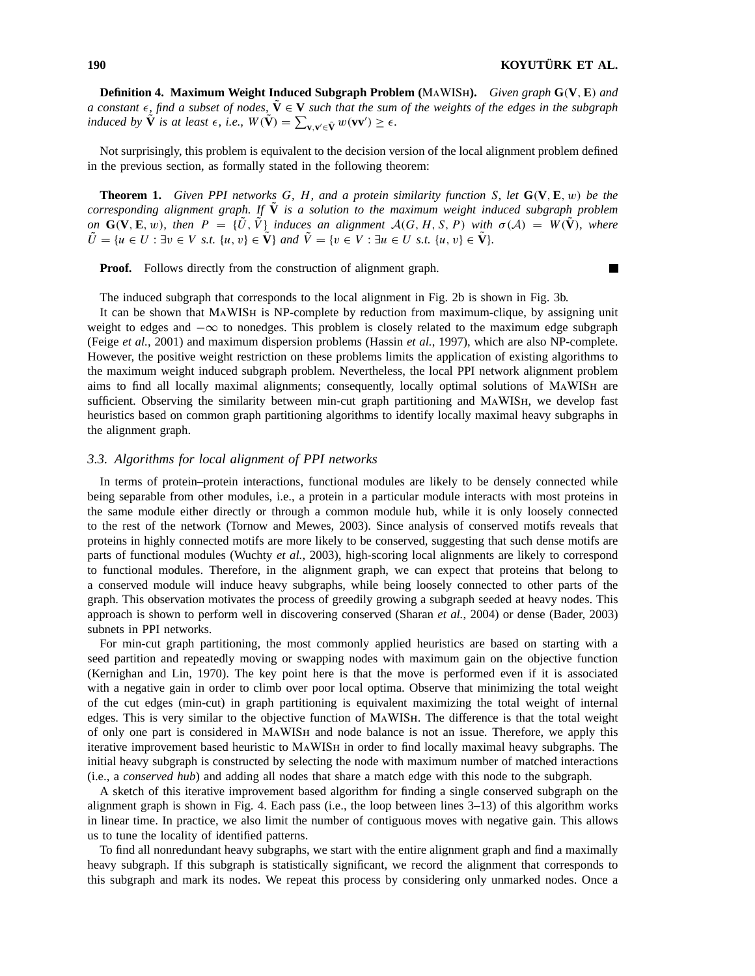**Definition 4. Maximum Weight Induced Subgraph Problem (**MaWISh**).** *Given graph* **G**(**V**,**E**) *and a* constant  $\epsilon$ , find a subset of nodes,  $\tilde{V} \in V$  such that the sum of the weights of the edges in the subgraph *induced by*  $\tilde{V}$  *is at least*  $\epsilon$ *, i.e.,*  $W(\tilde{V}) = \sum_{v,v' \in \tilde{V}} w(vv') \ge \epsilon$ *.* 

Not surprisingly, this problem is equivalent to the decision version of the local alignment problem defined in the previous section, as formally stated in the following theorem:

**Theorem 1.** *Given PPI networks* G*,* H*, and a protein similarity function* S*, let* **G**(**V**,**E**, w) *be the corresponding alignment graph. If*  $\tilde{V}$  *is a solution to the maximum weight induced subgraph problem on*  $G(V, E, w)$ *, then*  $P = \{U, V\}$  *induces an alignment*  $A(G, H, S, P)$  *with*  $\sigma(A) = W(\tilde{V})$ *, where*  $\tilde{U} = \{u \in U : \exists v \in V \text{ s.t. } \{u, v\} \in \tilde{V}\}$  and  $\tilde{V} = \{v \in V : \exists u \in U \text{ s.t. } \{u, v\} \in \tilde{V}\}.$ 

**Proof.** Follows directly from the construction of alignment graph.

The induced subgraph that corresponds to the local alignment in Fig. 2b is shown in Fig. 3b.

It can be shown that MaWISh is NP-complete by reduction from maximum-clique, by assigning unit weight to edges and  $-\infty$  to nonedges. This problem is closely related to the maximum edge subgraph (Feige *et al.*, 2001) and maximum dispersion problems (Hassin *et al.*, 1997), which are also NP-complete. However, the positive weight restriction on these problems limits the application of existing algorithms to the maximum weight induced subgraph problem. Nevertheless, the local PPI network alignment problem aims to find all locally maximal alignments; consequently, locally optimal solutions of MaWISh are sufficient. Observing the similarity between min-cut graph partitioning and MaWISh, we develop fast heuristics based on common graph partitioning algorithms to identify locally maximal heavy subgraphs in the alignment graph.

# *3.3. Algorithms for local alignment of PPI networks*

In terms of protein–protein interactions, functional modules are likely to be densely connected while being separable from other modules, i.e., a protein in a particular module interacts with most proteins in the same module either directly or through a common module hub, while it is only loosely connected to the rest of the network (Tornow and Mewes, 2003). Since analysis of conserved motifs reveals that proteins in highly connected motifs are more likely to be conserved, suggesting that such dense motifs are parts of functional modules (Wuchty *et al.*, 2003), high-scoring local alignments are likely to correspond to functional modules. Therefore, in the alignment graph, we can expect that proteins that belong to a conserved module will induce heavy subgraphs, while being loosely connected to other parts of the graph. This observation motivates the process of greedily growing a subgraph seeded at heavy nodes. This approach is shown to perform well in discovering conserved (Sharan *et al.*, 2004) or dense (Bader, 2003) subnets in PPI networks.

For min-cut graph partitioning, the most commonly applied heuristics are based on starting with a seed partition and repeatedly moving or swapping nodes with maximum gain on the objective function (Kernighan and Lin, 1970). The key point here is that the move is performed even if it is associated with a negative gain in order to climb over poor local optima. Observe that minimizing the total weight of the cut edges (min-cut) in graph partitioning is equivalent maximizing the total weight of internal edges. This is very similar to the objective function of MaWISh. The difference is that the total weight of only one part is considered in MaWISh and node balance is not an issue. Therefore, we apply this iterative improvement based heuristic to MaWISh in order to find locally maximal heavy subgraphs. The initial heavy subgraph is constructed by selecting the node with maximum number of matched interactions (i.e., a *conserved hub*) and adding all nodes that share a match edge with this node to the subgraph.

A sketch of this iterative improvement based algorithm for finding a single conserved subgraph on the alignment graph is shown in Fig. 4. Each pass (i.e., the loop between lines 3–13) of this algorithm works in linear time. In practice, we also limit the number of contiguous moves with negative gain. This allows us to tune the locality of identified patterns.

To find all nonredundant heavy subgraphs, we start with the entire alignment graph and find a maximally heavy subgraph. If this subgraph is statistically significant, we record the alignment that corresponds to this subgraph and mark its nodes. We repeat this process by considering only unmarked nodes. Once a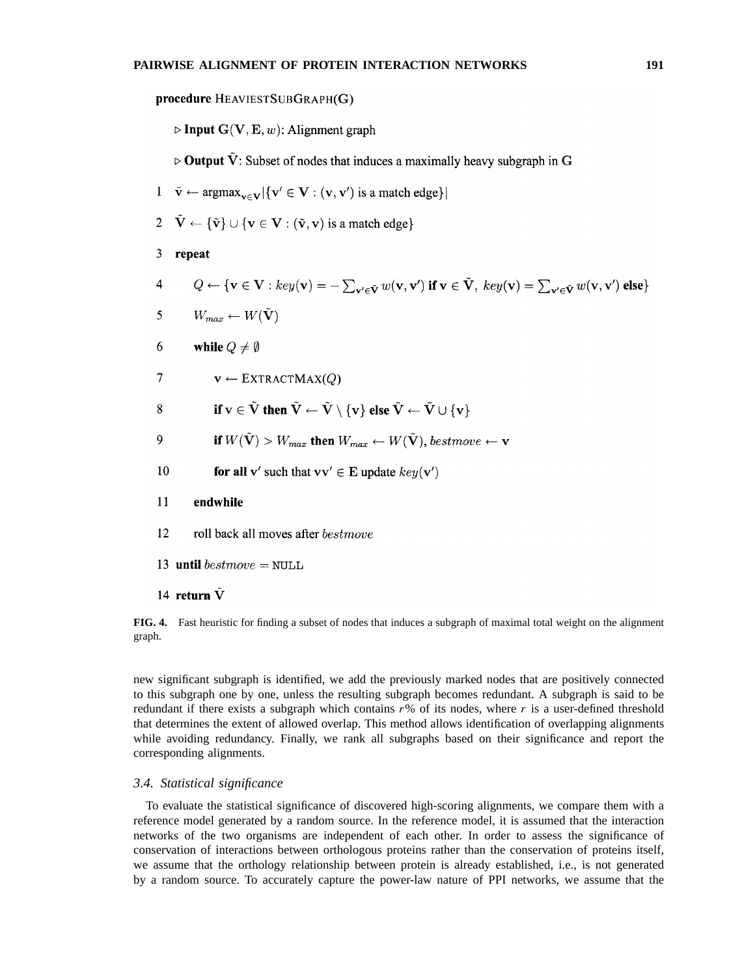procedure HEAVIESTSUBGRAPH(G)

 $\triangleright$  Input G(V, E, w): Alignment graph

 $\triangleright$  Output  $\tilde{V}$ : Subset of nodes that induces a maximally heavy subgraph in G

- $1 \quad \tilde{\mathbf{v}} \leftarrow \text{argmax}_{\mathbf{v} \in \mathbf{V}} |\{\mathbf{v}' \in \mathbf{V} : (\mathbf{v}, \mathbf{v}')\text{ is a match edge}\}|$
- 2  $\tilde{V} \leftarrow {\tilde{v}} \cup {v \in V : (\tilde{v}, v) \text{ is a match edge}}$
- 3 repeat

4 
$$
Q \leftarrow \{ \mathbf{v} \in \mathbf{V} : key(\mathbf{v}) = -\sum_{\mathbf{v}' \in \tilde{\mathbf{V}}} w(\mathbf{v}, \mathbf{v}') \text{ if } \mathbf{v} \in \tilde{\mathbf{V}}, \; key(\mathbf{v}) = \sum_{\mathbf{v}' \in \tilde{\mathbf{V}}} w(\mathbf{v}, \mathbf{v}') \text{ else} \}
$$

- 5  $W_{max} \leftarrow W(\tilde{\mathbf{V}})$
- while  $Q \neq \emptyset$ 6
- $\overline{7}$  $\mathbf{v} \leftarrow \text{EXTRACTMAX}(Q)$
- if  $v \in \tilde{V}$  then  $\tilde{V} \leftarrow \tilde{V} \setminus \{v\}$  else  $\tilde{V} \leftarrow \tilde{V} \cup \{v\}$ 8
- if  $W(\tilde{V}) > W_{max}$  then  $W_{max} \leftarrow W(\tilde{V})$ , bestmove  $\leftarrow$  v 9
- 10 for all v' such that  $vv' \in E$  update  $key(v')$
- $11$ endwhile
- 12 roll back all moves after *bestmove*
- 13 until bestmove = NULL
- 14 return  $\tilde{V}$

**FIG. 4.** Fast heuristic for finding a subset of nodes that induces a subgraph of maximal total weight on the alignment graph.

new significant subgraph is identified, we add the previously marked nodes that are positively connected to this subgraph one by one, unless the resulting subgraph becomes redundant. A subgraph is said to be redundant if there exists a subgraph which contains  $r\%$  of its nodes, where r is a user-defined threshold that determines the extent of allowed overlap. This method allows identification of overlapping alignments while avoiding redundancy. Finally, we rank all subgraphs based on their significance and report the corresponding alignments.

## *3.4. Statistical significance*

To evaluate the statistical significance of discovered high-scoring alignments, we compare them with a reference model generated by a random source. In the reference model, it is assumed that the interaction networks of the two organisms are independent of each other. In order to assess the significance of conservation of interactions between orthologous proteins rather than the conservation of proteins itself, we assume that the orthology relationship between protein is already established, i.e., is not generated by a random source. To accurately capture the power-law nature of PPI networks, we assume that the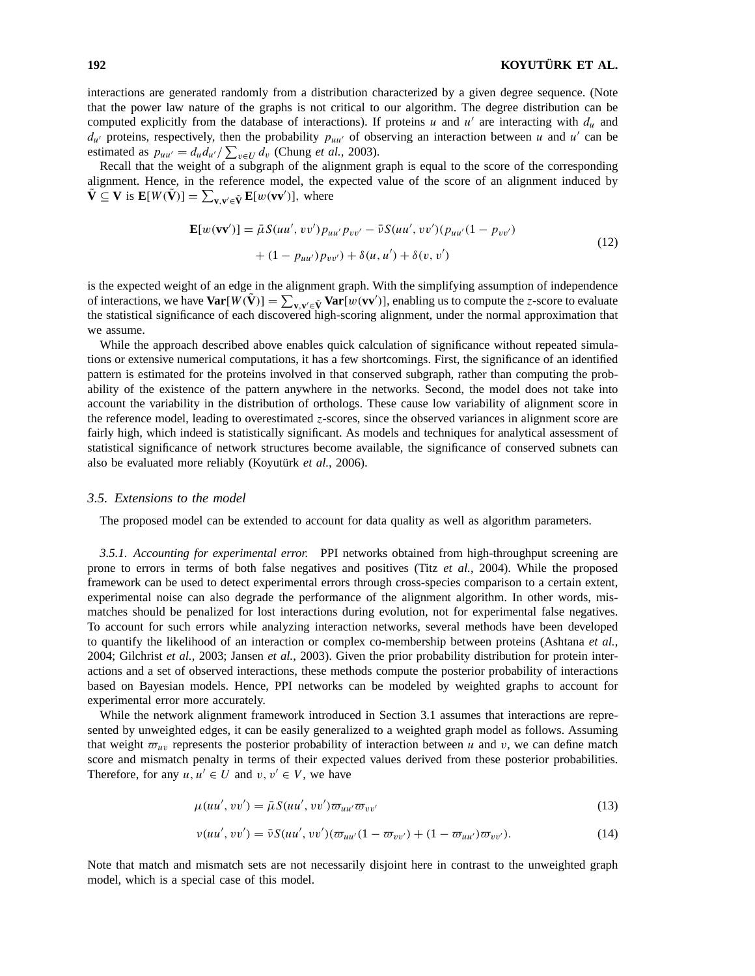interactions are generated randomly from a distribution characterized by a given degree sequence. (Note that the power law nature of the graphs is not critical to our algorithm. The degree distribution can be computed explicitly from the database of interactions). If proteins u and u' are interacting with  $d_u$  and  $d_{u'}$  proteins, respectively, then the probability  $p_{uu'}$  of observing an interaction between u and u' can be estimated as  $p_{uu'} = d_u d_{u'} / \sum_{v \in U} d_v$  (Chung *et al.*, 2003).

Recall that the weight of a subgraph of the alignment graph is equal to the score of the corresponding alignment. Hence, in the reference model, the expected value of the score of an alignment induced by  $\tilde{\mathbf{V}} \subseteq \mathbf{V}$  is  $\mathbf{E}[W(\tilde{\mathbf{V}})] = \sum_{\mathbf{v}, \mathbf{v}' \in \tilde{\mathbf{V}}} \mathbf{E}[w(\mathbf{v}\mathbf{v}')]$ , where

$$
\mathbf{E}[w(\mathbf{v}\mathbf{v}')] = \bar{\mu} S(uu', vv')p_{uu'}p_{vv'} - \bar{\nu} S(uu', vv')(p_{uu'}(1 - p_{vv'})+ (1 - p_{uu'})p_{vv'}) + \delta(u, u') + \delta(v, v')
$$
(12)

is the expected weight of an edge in the alignment graph. With the simplifying assumption of independence of interactions, we have  $\text{Var}[W(\tilde{V})] = \sum_{v,v' \in \tilde{V}} \text{Var}[w(vv')]$ , enabling us to compute the z-score to evaluate the statistical significance of each discovered high-scoring alignment, under the normal approximation that we assume.

While the approach described above enables quick calculation of significance without repeated simulations or extensive numerical computations, it has a few shortcomings. First, the significance of an identified pattern is estimated for the proteins involved in that conserved subgraph, rather than computing the probability of the existence of the pattern anywhere in the networks. Second, the model does not take into account the variability in the distribution of orthologs. These cause low variability of alignment score in the reference model, leading to overestimated  $z$ -scores, since the observed variances in alignment score are fairly high, which indeed is statistically significant. As models and techniques for analytical assessment of statistical significance of network structures become available, the significance of conserved subnets can also be evaluated more reliably (Koyutürk *et al.*, 2006).

#### *3.5. Extensions to the model*

The proposed model can be extended to account for data quality as well as algorithm parameters.

*3.5.1. Accounting for experimental error.* PPI networks obtained from high-throughput screening are prone to errors in terms of both false negatives and positives (Titz *et al.*, 2004). While the proposed framework can be used to detect experimental errors through cross-species comparison to a certain extent, experimental noise can also degrade the performance of the alignment algorithm. In other words, mismatches should be penalized for lost interactions during evolution, not for experimental false negatives. To account for such errors while analyzing interaction networks, several methods have been developed to quantify the likelihood of an interaction or complex co-membership between proteins (Ashtana *et al.*, 2004; Gilchrist *et al.*, 2003; Jansen *et al.*, 2003). Given the prior probability distribution for protein interactions and a set of observed interactions, these methods compute the posterior probability of interactions based on Bayesian models. Hence, PPI networks can be modeled by weighted graphs to account for experimental error more accurately.

While the network alignment framework introduced in Section 3.1 assumes that interactions are represented by unweighted edges, it can be easily generalized to a weighted graph model as follows. Assuming that weight  $\varpi_{uv}$  represents the posterior probability of interaction between u and v, we can define match score and mismatch penalty in terms of their expected values derived from these posterior probabilities. Therefore, for any  $u, u' \in U$  and  $v, v' \in V$ , we have

$$
\mu(uu', vv') = \bar{\mu} S(uu', vv') \overline{\omega}_{uu'} \overline{\omega}_{vv'} \tag{13}
$$

$$
v(uu', vv') = \bar{v}S(uu', vv')(\overline{\omega}_{uu'}(1 - \overline{\omega}_{vv'}) + (1 - \overline{\omega}_{uu'})\overline{\omega}_{vv'}).
$$
(14)

Note that match and mismatch sets are not necessarily disjoint here in contrast to the unweighted graph model, which is a special case of this model.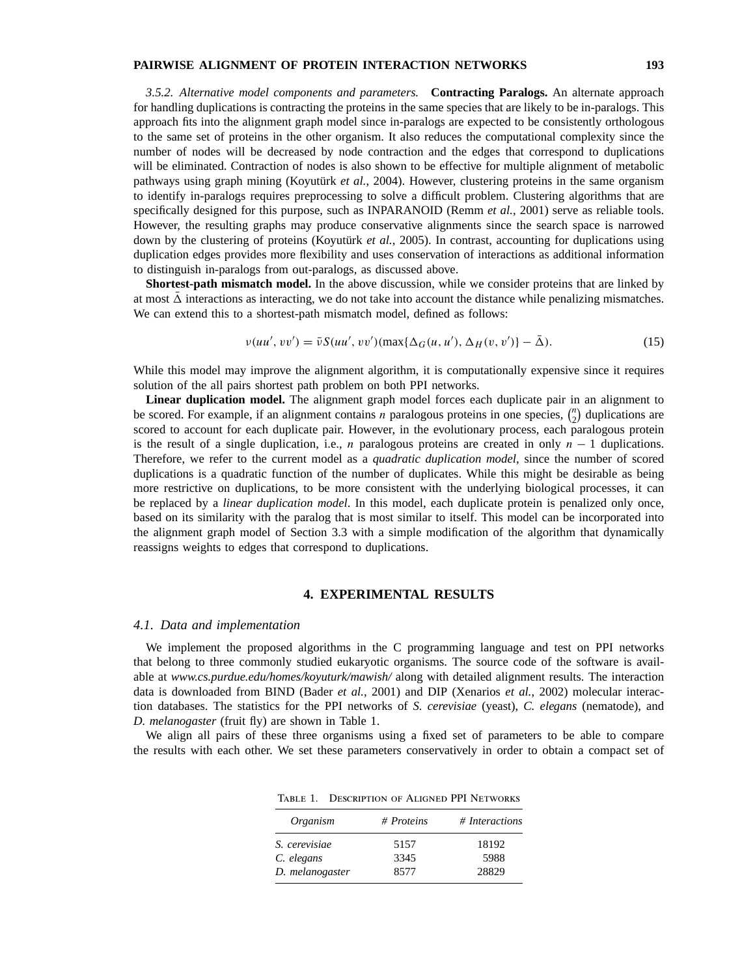*3.5.2. Alternative model components and parameters.* **Contracting Paralogs.** An alternate approach for handling duplications is contracting the proteins in the same species that are likely to be in-paralogs. This approach fits into the alignment graph model since in-paralogs are expected to be consistently orthologous to the same set of proteins in the other organism. It also reduces the computational complexity since the number of nodes will be decreased by node contraction and the edges that correspond to duplications will be eliminated. Contraction of nodes is also shown to be effective for multiple alignment of metabolic pathways using graph mining (Koyutürk *et al.*, 2004). However, clustering proteins in the same organism to identify in-paralogs requires preprocessing to solve a difficult problem. Clustering algorithms that are specifically designed for this purpose, such as INPARANOID (Remm *et al.*, 2001) serve as reliable tools. However, the resulting graphs may produce conservative alignments since the search space is narrowed down by the clustering of proteins (Koyutürk *et al.*, 2005). In contrast, accounting for duplications using duplication edges provides more flexibility and uses conservation of interactions as additional information to distinguish in-paralogs from out-paralogs, as discussed above.

**Shortest-path mismatch model.** In the above discussion, while we consider proteins that are linked by at most  $\bar{\Delta}$  interactions as interacting, we do not take into account the distance while penalizing mismatches. We can extend this to a shortest-path mismatch model, defined as follows:

$$
v(uu', vv') = \bar{v}S(uu', vv')(max{\{\Delta_G(u, u'), \Delta_H(v, v')\}} - \bar{\Delta}).
$$
\n(15)

While this model may improve the alignment algorithm, it is computationally expensive since it requires solution of the all pairs shortest path problem on both PPI networks.

**Linear duplication model.** The alignment graph model forces each duplicate pair in an alignment to be scored. For example, if an alignment contains *n* paralogous proteins in one species,  $\binom{n}{2}$  duplications are scored to account for each duplicate pair. However, in the evolutionary process, each paralogous protein is the result of a single duplication, i.e., *n* paralogous proteins are created in only  $n - 1$  duplications. Therefore, we refer to the current model as a *quadratic duplication model*, since the number of scored duplications is a quadratic function of the number of duplicates. While this might be desirable as being more restrictive on duplications, to be more consistent with the underlying biological processes, it can be replaced by a *linear duplication model*. In this model, each duplicate protein is penalized only once, based on its similarity with the paralog that is most similar to itself. This model can be incorporated into the alignment graph model of Section 3.3 with a simple modification of the algorithm that dynamically reassigns weights to edges that correspond to duplications.

## **4. EXPERIMENTAL RESULTS**

## *4.1. Data and implementation*

We implement the proposed algorithms in the C programming language and test on PPI networks that belong to three commonly studied eukaryotic organisms. The source code of the software is available at *www.cs.purdue.edu/homes/koyuturk/mawish/* along with detailed alignment results. The interaction data is downloaded from BIND (Bader *et al.*, 2001) and DIP (Xenarios *et al.*, 2002) molecular interaction databases. The statistics for the PPI networks of *S. cerevisiae* (yeast), *C. elegans* (nematode), and *D. melanogaster* (fruit fly) are shown in Table 1.

We align all pairs of these three organisms using a fixed set of parameters to be able to compare the results with each other. We set these parameters conservatively in order to obtain a compact set of

| Organism        | $#$ Proteins | $#$ Interactions |
|-----------------|--------------|------------------|
| S. cerevisiae   | 5157         | 18192            |
| C. elegans      | 3345         | 5988             |
| D. melanogaster | 8577         | 28829            |

Table 1. Description of Aligned PPI Networks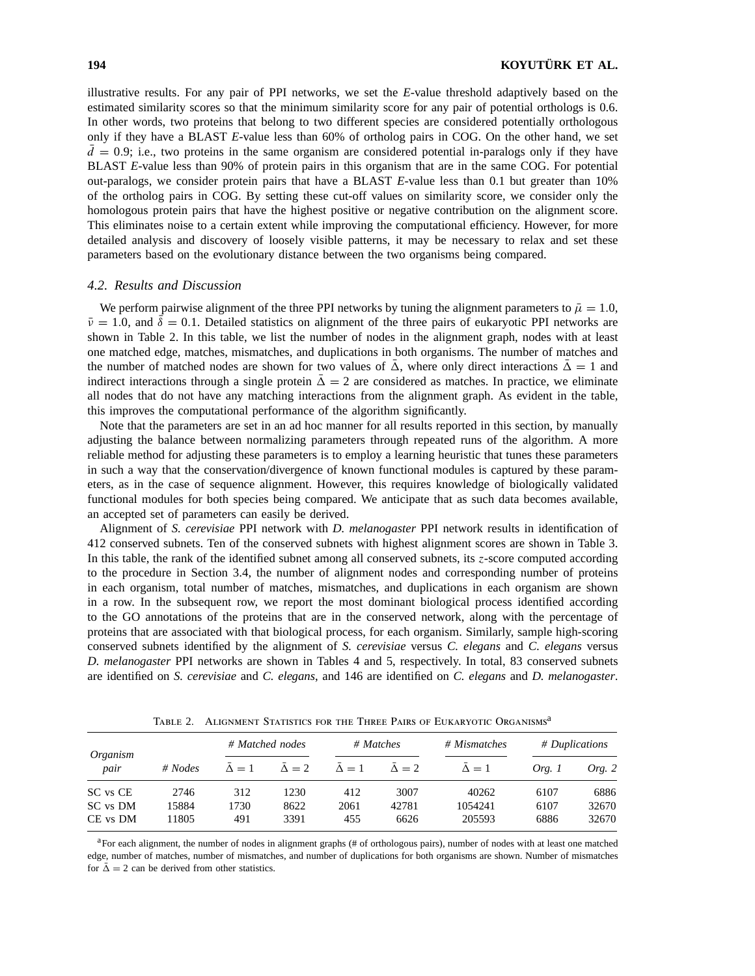illustrative results. For any pair of PPI networks, we set the *E*-value threshold adaptively based on the estimated similarity scores so that the minimum similarity score for any pair of potential orthologs is 0.6. In other words, two proteins that belong to two different species are considered potentially orthologous only if they have a BLAST *E*-value less than 60% of ortholog pairs in COG. On the other hand, we set  $\overline{d} = 0.9$ ; i.e., two proteins in the same organism are considered potential in-paralogs only if they have BLAST *E*-value less than 90% of protein pairs in this organism that are in the same COG. For potential out-paralogs, we consider protein pairs that have a BLAST *E*-value less than 0.1 but greater than 10% of the ortholog pairs in COG. By setting these cut-off values on similarity score, we consider only the homologous protein pairs that have the highest positive or negative contribution on the alignment score. This eliminates noise to a certain extent while improving the computational efficiency. However, for more detailed analysis and discovery of loosely visible patterns, it may be necessary to relax and set these parameters based on the evolutionary distance between the two organisms being compared.

#### *4.2. Results and Discussion*

We perform pairwise alignment of the three PPI networks by tuning the alignment parameters to  $\bar{\mu} = 1.0$ ,  $\bar{\nu} = 1.0$ , and  $\bar{\delta} = 0.1$ . Detailed statistics on alignment of the three pairs of eukaryotic PPI networks are shown in Table 2. In this table, we list the number of nodes in the alignment graph, nodes with at least one matched edge, matches, mismatches, and duplications in both organisms. The number of matches and the number of matched nodes are shown for two values of  $\bar{\Delta}$ , where only direct interactions  $\bar{\Delta} = 1$  and indirect interactions through a single protein  $\bar{\Delta} = 2$  are considered as matches. In practice, we eliminate all nodes that do not have any matching interactions from the alignment graph. As evident in the table, this improves the computational performance of the algorithm significantly.

Note that the parameters are set in an ad hoc manner for all results reported in this section, by manually adjusting the balance between normalizing parameters through repeated runs of the algorithm. A more reliable method for adjusting these parameters is to employ a learning heuristic that tunes these parameters in such a way that the conservation/divergence of known functional modules is captured by these parameters, as in the case of sequence alignment. However, this requires knowledge of biologically validated functional modules for both species being compared. We anticipate that as such data becomes available, an accepted set of parameters can easily be derived.

Alignment of *S. cerevisiae* PPI network with *D. melanogaster* PPI network results in identification of 412 conserved subnets. Ten of the conserved subnets with highest alignment scores are shown in Table 3. In this table, the rank of the identified subnet among all conserved subnets, its z-score computed according to the procedure in Section 3.4, the number of alignment nodes and corresponding number of proteins in each organism, total number of matches, mismatches, and duplications in each organism are shown in a row. In the subsequent row, we report the most dominant biological process identified according to the GO annotations of the proteins that are in the conserved network, along with the percentage of proteins that are associated with that biological process, for each organism. Similarly, sample high-scoring conserved subnets identified by the alignment of *S. cerevisiae* versus *C. elegans* and *C. elegans* versus *D. melanogaster* PPI networks are shown in Tables 4 and 5, respectively. In total, 83 conserved subnets are identified on *S. cerevisiae* and *C. elegans*, and 146 are identified on *C. elegans* and *D. melanogaster*.

|                  |         | # Matched nodes |              | $#$ Matches  |              | $#$ Mismatches | $#$ Duplications |          |
|------------------|---------|-----------------|--------------|--------------|--------------|----------------|------------------|----------|
| Organism<br>pair | # Nodes | $\Lambda = 1$   | $\Delta = 2$ | $\Delta = 1$ | $\Delta = 2$ | $\Delta = 1$   | Org. $1$         | Org. $2$ |
| SC vs CE         | 2746    | 312             | 1230         | 412          | 3007         | 40262          | 6107             | 6886     |
| SC vs DM         | 15884   | 1730            | 8622         | 2061         | 42781        | 1054241        | 6107             | 32670    |
| CE vs DM         | 11805   | 491             | 3391         | 455          | 6626         | 205593         | 6886             | 32670    |

TABLE 2. ALIGNMENT STATISTICS FOR THE THREE PAIRS OF EUKARYOTIC ORGANISMS<sup>a</sup>

aFor each alignment, the number of nodes in alignment graphs (# of orthologous pairs), number of nodes with at least one matched edge, number of matches, number of mismatches, and number of duplications for both organisms are shown. Number of mismatches for  $\bar{\Delta} = 2$  can be derived from other statistics.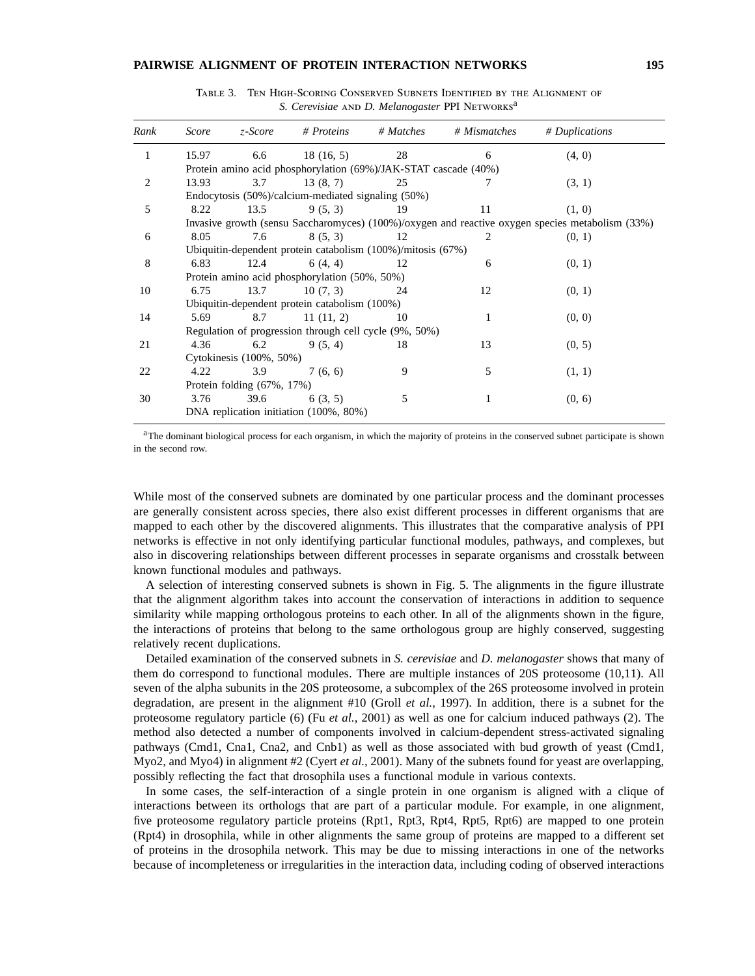| Rank | Score                                                           | z-Score | $#$ Proteins                                       | # Matches                                                   | # Mismatches | $#$ Duplications                                                                                 |  |  |  |
|------|-----------------------------------------------------------------|---------|----------------------------------------------------|-------------------------------------------------------------|--------------|--------------------------------------------------------------------------------------------------|--|--|--|
| 1    | 15.97                                                           | 6.6     | 18(16, 5)                                          | 28                                                          | 6            | (4, 0)                                                                                           |  |  |  |
|      | Protein amino acid phosphorylation (69%)/JAK-STAT cascade (40%) |         |                                                    |                                                             |              |                                                                                                  |  |  |  |
| 2    | 13.93                                                           | 3.7     | 13(8, 7)                                           | 25                                                          |              | (3, 1)                                                                                           |  |  |  |
|      |                                                                 |         | Endocytosis (50%)/calcium-mediated signaling (50%) |                                                             |              |                                                                                                  |  |  |  |
| 5    | 8.22                                                            | 13.5    | 9(5, 3)                                            | 19                                                          | 11           | (1, 0)                                                                                           |  |  |  |
|      |                                                                 |         |                                                    |                                                             |              | Invasive growth (sensu Saccharomyces) (100%)/oxygen and reactive oxygen species metabolism (33%) |  |  |  |
| 6    | 8.05                                                            | 7.6     | 8(5, 3)                                            | 12                                                          | 2            | (0, 1)                                                                                           |  |  |  |
|      |                                                                 |         |                                                    | Ubiquitin-dependent protein catabolism (100%)/mitosis (67%) |              |                                                                                                  |  |  |  |
| 8    | 6.83                                                            | 12.4    | 6(4, 4)                                            | 12                                                          | 6            | (0, 1)                                                                                           |  |  |  |
|      |                                                                 |         | Protein amino acid phosphorylation (50%, 50%)      |                                                             |              |                                                                                                  |  |  |  |
| 10   | 6.75                                                            | 13.7    | 10(7, 3)                                           | 24                                                          | 12           | (0, 1)                                                                                           |  |  |  |
|      |                                                                 |         | Ubiquitin-dependent protein catabolism (100%)      |                                                             |              |                                                                                                  |  |  |  |
| 14   | 5.69                                                            | 8.7     | 11(11, 2)                                          | 10                                                          |              | (0, 0)                                                                                           |  |  |  |
|      | Regulation of progression through cell cycle (9%, 50%)          |         |                                                    |                                                             |              |                                                                                                  |  |  |  |
| 21   | 4.36                                                            | 6.2     | 9(5, 4)                                            | 18                                                          | 13           | (0, 5)                                                                                           |  |  |  |
|      | Cytokinesis (100%, 50%)                                         |         |                                                    |                                                             |              |                                                                                                  |  |  |  |
| 22   | 4.22                                                            | 3.9     | 7(6, 6)                                            | 9                                                           | 5            | (1, 1)                                                                                           |  |  |  |
|      | Protein folding $(67\%, 17\%)$                                  |         |                                                    |                                                             |              |                                                                                                  |  |  |  |
| 30   | 3.76                                                            | 39.6    | 6(3, 5)                                            | 5                                                           |              | (0, 6)                                                                                           |  |  |  |
|      | DNA replication initiation (100%, 80%)                          |         |                                                    |                                                             |              |                                                                                                  |  |  |  |

Table 3. Ten High-Scoring Conserved Subnets Identified by the Alignment of *S. Cerevisiae* AND *D. Melanogaster* PPI NETWORKS<sup>a</sup>

 $a$ The dominant biological process for each organism, in which the majority of proteins in the conserved subnet participate is shown in the second row.

While most of the conserved subnets are dominated by one particular process and the dominant processes are generally consistent across species, there also exist different processes in different organisms that are mapped to each other by the discovered alignments. This illustrates that the comparative analysis of PPI networks is effective in not only identifying particular functional modules, pathways, and complexes, but also in discovering relationships between different processes in separate organisms and crosstalk between known functional modules and pathways.

A selection of interesting conserved subnets is shown in Fig. 5. The alignments in the figure illustrate that the alignment algorithm takes into account the conservation of interactions in addition to sequence similarity while mapping orthologous proteins to each other. In all of the alignments shown in the figure, the interactions of proteins that belong to the same orthologous group are highly conserved, suggesting relatively recent duplications.

Detailed examination of the conserved subnets in *S. cerevisiae* and *D. melanogaster* shows that many of them do correspond to functional modules. There are multiple instances of 20S proteosome (10,11). All seven of the alpha subunits in the 20S proteosome, a subcomplex of the 26S proteosome involved in protein degradation, are present in the alignment #10 (Groll *et al.*, 1997). In addition, there is a subnet for the proteosome regulatory particle (6) (Fu *et al.*, 2001) as well as one for calcium induced pathways (2). The method also detected a number of components involved in calcium-dependent stress-activated signaling pathways (Cmd1, Cna1, Cna2, and Cnb1) as well as those associated with bud growth of yeast (Cmd1, Myo2, and Myo4) in alignment #2 (Cyert *et al.*, 2001). Many of the subnets found for yeast are overlapping, possibly reflecting the fact that drosophila uses a functional module in various contexts.

In some cases, the self-interaction of a single protein in one organism is aligned with a clique of interactions between its orthologs that are part of a particular module. For example, in one alignment, five proteosome regulatory particle proteins (Rpt1, Rpt3, Rpt4, Rpt5, Rpt6) are mapped to one protein (Rpt4) in drosophila, while in other alignments the same group of proteins are mapped to a different set of proteins in the drosophila network. This may be due to missing interactions in one of the networks because of incompleteness or irregularities in the interaction data, including coding of observed interactions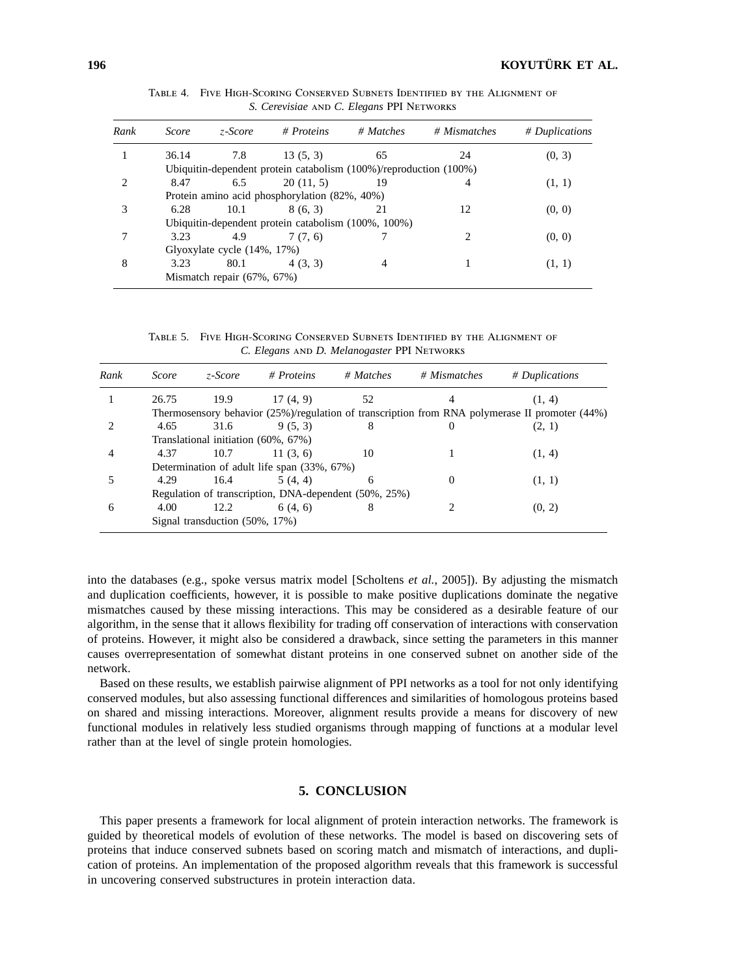| Rank | <i>Score</i> | z-Score                     | $#$ Proteins                                        | $\#$ Matches                                                      | $#$ Mismatches | $#$ Duplications |  |  |
|------|--------------|-----------------------------|-----------------------------------------------------|-------------------------------------------------------------------|----------------|------------------|--|--|
|      | 36.14        | 7.8                         | 13(5, 3)                                            | 65                                                                | 24             | (0, 3)           |  |  |
|      |              |                             |                                                     | Ubiquitin-dependent protein catabolism (100%)/reproduction (100%) |                |                  |  |  |
|      | 8.47         | 6.5                         | 20(11, 5)                                           | 19                                                                | 4              | (1, 1)           |  |  |
|      |              |                             | Protein amino acid phosphorylation (82%, 40%)       |                                                                   |                |                  |  |  |
|      | 6.28         | 10.1                        | 8(6, 3)                                             | 21                                                                | 12             | (0, 0)           |  |  |
|      |              |                             | Ubiquitin-dependent protein catabolism (100%, 100%) |                                                                   |                |                  |  |  |
|      | 3.23         | 4.9                         | 7(7, 6)                                             |                                                                   | 2              | (0, 0)           |  |  |
|      |              | Glyoxylate cycle (14%, 17%) |                                                     |                                                                   |                |                  |  |  |
| 8    | 3.23         | 80.1                        | 4(3, 3)                                             | 4                                                                 |                | (1, 1)           |  |  |
|      |              | Mismatch repair (67%, 67%)  |                                                     |                                                                   |                |                  |  |  |

Table 4. Five High-Scoring Conserved Subnets Identified by the Alignment of *S. Cerevisiae* and *C. Elegans* PPI Networks

Table 5. Five High-Scoring Conserved Subnets Identified by the Alignment of *C. Elegans* and *D. Melanogaster* PPI Networks

| Rank | <i>Score</i> | z-Score                             | $#$ Proteins                                          | $#$ Matches | $#$ Mismatches | $#$ Duplications                                                                               |
|------|--------------|-------------------------------------|-------------------------------------------------------|-------------|----------------|------------------------------------------------------------------------------------------------|
|      | 26.75        | 19.9                                | 17(4, 9)                                              | 52          |                | (1, 4)                                                                                         |
|      |              |                                     |                                                       |             |                | Thermosensory behavior (25%)/regulation of transcription from RNA polymerase II promoter (44%) |
|      | 4.65         | 31.6                                | 9(5, 3)                                               | 8           | $\theta$       | (2, 1)                                                                                         |
|      |              | Translational initiation (60%, 67%) |                                                       |             |                |                                                                                                |
|      | 4.37         | 10.7                                | 11(3, 6)                                              | 10          |                | (1, 4)                                                                                         |
|      |              |                                     | Determination of adult life span (33%, 67%)           |             |                |                                                                                                |
|      | 4.29         | 16.4                                | 5(4, 4)                                               | 6           | $\theta$       | (1, 1)                                                                                         |
|      |              |                                     | Regulation of transcription, DNA-dependent (50%, 25%) |             |                |                                                                                                |
| 6    | 4.00         | 12.2                                | 6(4, 6)                                               |             |                | (0, 2)                                                                                         |
|      |              | Signal transduction (50%, 17%)      |                                                       |             |                |                                                                                                |

into the databases (e.g., spoke versus matrix model [Scholtens *et al.*, 2005]). By adjusting the mismatch and duplication coefficients, however, it is possible to make positive duplications dominate the negative mismatches caused by these missing interactions. This may be considered as a desirable feature of our algorithm, in the sense that it allows flexibility for trading off conservation of interactions with conservation of proteins. However, it might also be considered a drawback, since setting the parameters in this manner causes overrepresentation of somewhat distant proteins in one conserved subnet on another side of the network.

Based on these results, we establish pairwise alignment of PPI networks as a tool for not only identifying conserved modules, but also assessing functional differences and similarities of homologous proteins based on shared and missing interactions. Moreover, alignment results provide a means for discovery of new functional modules in relatively less studied organisms through mapping of functions at a modular level rather than at the level of single protein homologies.

# **5. CONCLUSION**

This paper presents a framework for local alignment of protein interaction networks. The framework is guided by theoretical models of evolution of these networks. The model is based on discovering sets of proteins that induce conserved subnets based on scoring match and mismatch of interactions, and duplication of proteins. An implementation of the proposed algorithm reveals that this framework is successful in uncovering conserved substructures in protein interaction data.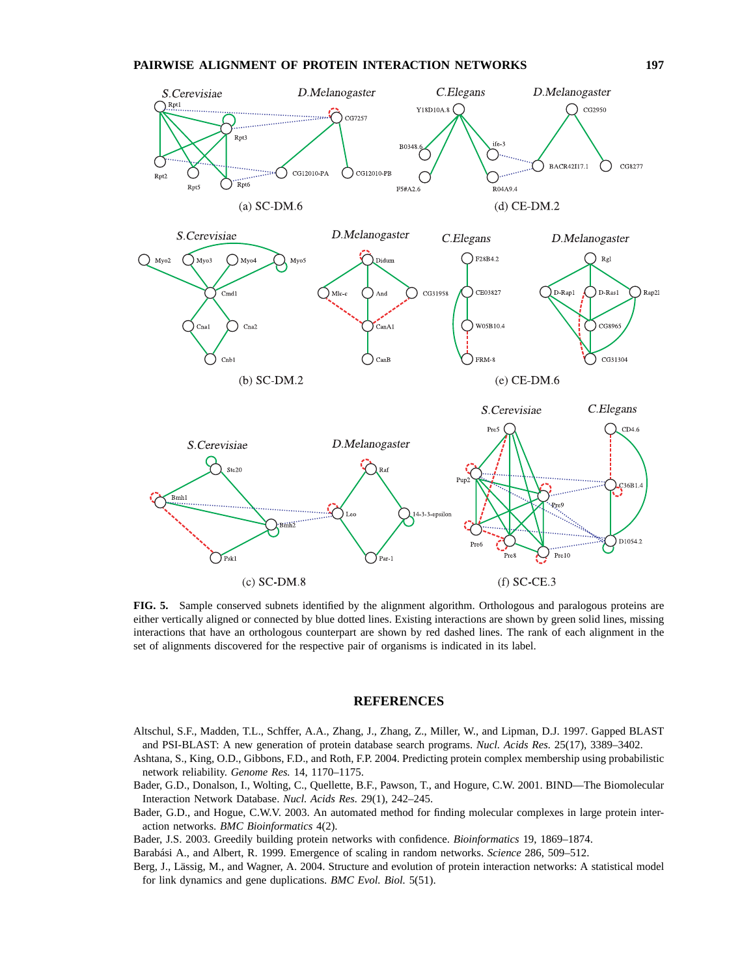

**FIG. 5.** Sample conserved subnets identified by the alignment algorithm. Orthologous and paralogous proteins are either vertically aligned or connected by blue dotted lines. Existing interactions are shown by green solid lines, missing interactions that have an orthologous counterpart are shown by red dashed lines. The rank of each alignment in the set of alignments discovered for the respective pair of organisms is indicated in its label.

## **REFERENCES**

- Altschul, S.F., Madden, T.L., Schffer, A.A., Zhang, J., Zhang, Z., Miller, W., and Lipman, D.J. 1997. Gapped BLAST and PSI-BLAST: A new generation of protein database search programs. *Nucl. Acids Res.* 25(17), 3389–3402.
- Ashtana, S., King, O.D., Gibbons, F.D., and Roth, F.P. 2004. Predicting protein complex membership using probabilistic network reliability. *Genome Res.* 14, 1170–1175.
- Bader, G.D., Donalson, I., Wolting, C., Quellette, B.F., Pawson, T., and Hogure, C.W. 2001. BIND—The Biomolecular Interaction Network Database. *Nucl. Acids Res.* 29(1), 242–245.
- Bader, G.D., and Hogue, C.W.V. 2003. An automated method for finding molecular complexes in large protein interaction networks. *BMC Bioinformatics* 4(2).

Bader, J.S. 2003. Greedily building protein networks with confidence. *Bioinformatics* 19, 1869–1874.

Barabási A., and Albert, R. 1999. Emergence of scaling in random networks. *Science* 286, 509–512.

Berg, J., Lässig, M., and Wagner, A. 2004. Structure and evolution of protein interaction networks: A statistical model for link dynamics and gene duplications. *BMC Evol. Biol.* 5(51).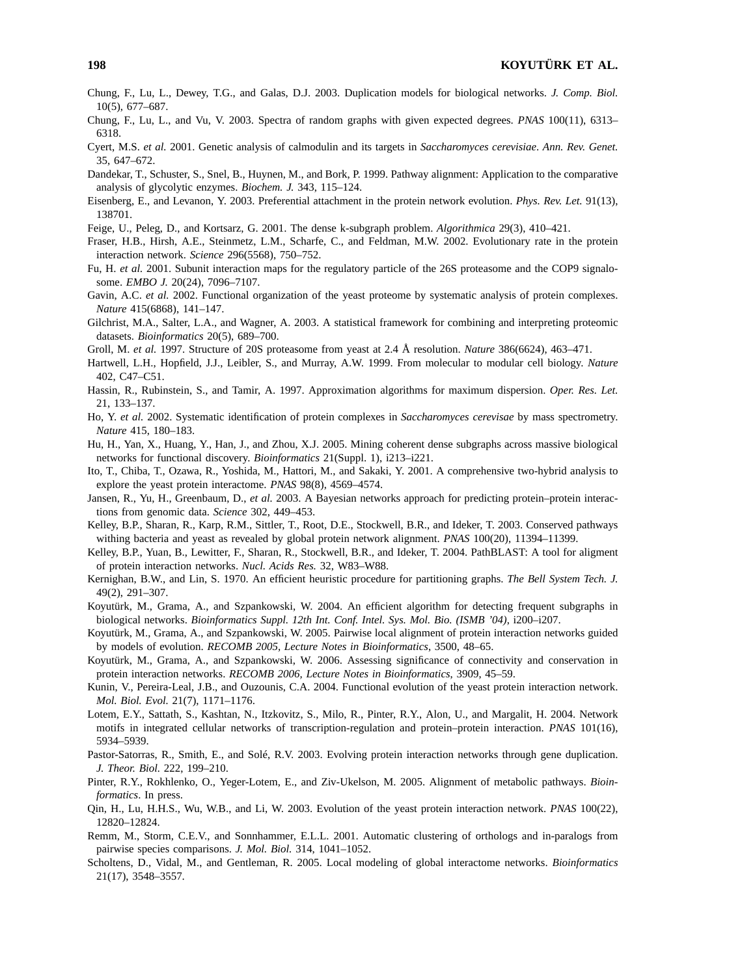- Chung, F., Lu, L., Dewey, T.G., and Galas, D.J. 2003. Duplication models for biological networks. *J. Comp. Biol.* 10(5), 677–687.
- Chung, F., Lu, L., and Vu, V. 2003. Spectra of random graphs with given expected degrees. *PNAS* 100(11), 6313– 6318.
- Cyert, M.S. *et al.* 2001. Genetic analysis of calmodulin and its targets in *Saccharomyces cerevisiae*. *Ann. Rev. Genet.* 35, 647–672.
- Dandekar, T., Schuster, S., Snel, B., Huynen, M., and Bork, P. 1999. Pathway alignment: Application to the comparative analysis of glycolytic enzymes. *Biochem. J.* 343, 115–124.
- Eisenberg, E., and Levanon, Y. 2003. Preferential attachment in the protein network evolution. *Phys. Rev. Let.* 91(13), 138701.
- Feige, U., Peleg, D., and Kortsarz, G. 2001. The dense k-subgraph problem. *Algorithmica* 29(3), 410–421.
- Fraser, H.B., Hirsh, A.E., Steinmetz, L.M., Scharfe, C., and Feldman, M.W. 2002. Evolutionary rate in the protein interaction network. *Science* 296(5568), 750–752.
- Fu, H. *et al.* 2001. Subunit interaction maps for the regulatory particle of the 26S proteasome and the COP9 signalosome. *EMBO J.* 20(24), 7096–7107.
- Gavin, A.C. *et al.* 2002. Functional organization of the yeast proteome by systematic analysis of protein complexes. *Nature* 415(6868), 141–147.
- Gilchrist, M.A., Salter, L.A., and Wagner, A. 2003. A statistical framework for combining and interpreting proteomic datasets. *Bioinformatics* 20(5), 689–700.
- Groll, M. *et al.* 1997. Structure of 20S proteasome from yeast at 2.4 Å resolution. *Nature* 386(6624), 463–471.
- Hartwell, L.H., Hopfield, J.J., Leibler, S., and Murray, A.W. 1999. From molecular to modular cell biology. *Nature* 402, C47–C51.
- Hassin, R., Rubinstein, S., and Tamir, A. 1997. Approximation algorithms for maximum dispersion. *Oper. Res. Let.* 21, 133–137.
- Ho, Y. *et al.* 2002. Systematic identification of protein complexes in *Saccharomyces cerevisae* by mass spectrometry. *Nature* 415, 180–183.
- Hu, H., Yan, X., Huang, Y., Han, J., and Zhou, X.J. 2005. Mining coherent dense subgraphs across massive biological networks for functional discovery. *Bioinformatics* 21(Suppl. 1), i213–i221.
- Ito, T., Chiba, T., Ozawa, R., Yoshida, M., Hattori, M., and Sakaki, Y. 2001. A comprehensive two-hybrid analysis to explore the yeast protein interactome. *PNAS* 98(8), 4569–4574.
- Jansen, R., Yu, H., Greenbaum, D., *et al.* 2003. A Bayesian networks approach for predicting protein–protein interactions from genomic data. *Science* 302, 449–453.
- Kelley, B.P., Sharan, R., Karp, R.M., Sittler, T., Root, D.E., Stockwell, B.R., and Ideker, T. 2003. Conserved pathways withing bacteria and yeast as revealed by global protein network alignment. *PNAS* 100(20), 11394–11399.
- Kelley, B.P., Yuan, B., Lewitter, F., Sharan, R., Stockwell, B.R., and Ideker, T. 2004. PathBLAST: A tool for aligment of protein interaction networks. *Nucl. Acids Res.* 32, W83–W88.
- Kernighan, B.W., and Lin, S. 1970. An efficient heuristic procedure for partitioning graphs. *The Bell System Tech. J.* 49(2), 291–307.
- Koyutürk, M., Grama, A., and Szpankowski, W. 2004. An efficient algorithm for detecting frequent subgraphs in biological networks. *Bioinformatics Suppl. 12th Int. Conf. Intel. Sys. Mol. Bio. (ISMB '04)*, i200–i207.
- Koyutürk, M., Grama, A., and Szpankowski, W. 2005. Pairwise local alignment of protein interaction networks guided by models of evolution. *RECOMB 2005, Lecture Notes in Bioinformatics*, 3500, 48–65.
- Koyutürk, M., Grama, A., and Szpankowski, W. 2006. Assessing significance of connectivity and conservation in protein interaction networks. *RECOMB 2006, Lecture Notes in Bioinformatics*, 3909, 45–59.
- Kunin, V., Pereira-Leal, J.B., and Ouzounis, C.A. 2004. Functional evolution of the yeast protein interaction network. *Mol. Biol. Evol.* 21(7), 1171–1176.
- Lotem, E.Y., Sattath, S., Kashtan, N., Itzkovitz, S., Milo, R., Pinter, R.Y., Alon, U., and Margalit, H. 2004. Network motifs in integrated cellular networks of transcription-regulation and protein–protein interaction. *PNAS* 101(16), 5934–5939.
- Pastor-Satorras, R., Smith, E., and Solé, R.V. 2003. Evolving protein interaction networks through gene duplication. *J. Theor. Biol.* 222, 199–210.
- Pinter, R.Y., Rokhlenko, O., Yeger-Lotem, E., and Ziv-Ukelson, M. 2005. Alignment of metabolic pathways. *Bioinformatics*. In press.
- Qin, H., Lu, H.H.S., Wu, W.B., and Li, W. 2003. Evolution of the yeast protein interaction network. *PNAS* 100(22), 12820–12824.
- Remm, M., Storm, C.E.V., and Sonnhammer, E.L.L. 2001. Automatic clustering of orthologs and in-paralogs from pairwise species comparisons. *J. Mol. Biol.* 314, 1041–1052.
- Scholtens, D., Vidal, M., and Gentleman, R. 2005. Local modeling of global interactome networks. *Bioinformatics* 21(17), 3548–3557.